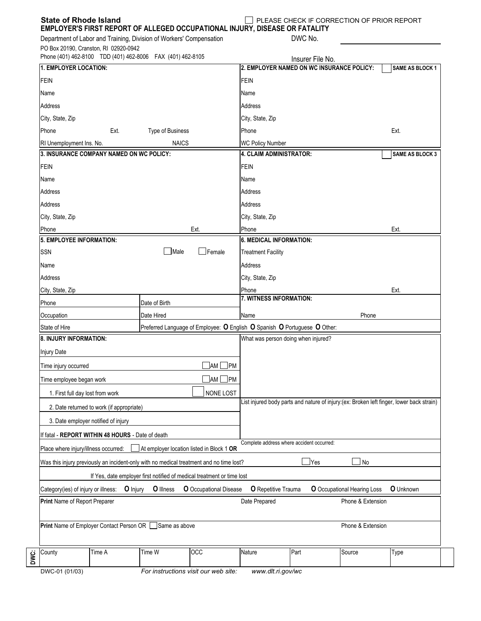| <b>State of Rhode Island</b><br>EMPLOYER'S FIRST REPORT OF ALLEGED OCCUPATIONAL INJURY, DISEASE OR FATALITY  |                                                                                          |                        |                                                                                            | PLEASE CHECK IF CORRECTION OF PRIOR REPORT |                                    |                  |
|--------------------------------------------------------------------------------------------------------------|------------------------------------------------------------------------------------------|------------------------|--------------------------------------------------------------------------------------------|--------------------------------------------|------------------------------------|------------------|
| Department of Labor and Training, Division of Workers' Compensation<br>PO Box 20190, Cranston, RI 02920-0942 |                                                                                          |                        |                                                                                            | DWC No.                                    |                                    |                  |
| Phone (401) 462-8100 TDD (401) 462-8006 FAX (401) 462-8105<br>1. EMPLOYER LOCATION:                          |                                                                                          |                        | Insurer File No.<br>2. EMPLOYER NAMED ON WC INSURANCE POLICY:<br>SAME AS BLOCK 1           |                                            |                                    |                  |
| <b>FEIN</b>                                                                                                  |                                                                                          |                        | <b>FEIN</b>                                                                                |                                            |                                    |                  |
|                                                                                                              |                                                                                          |                        |                                                                                            |                                            |                                    |                  |
| Name                                                                                                         |                                                                                          |                        | Name<br>Address                                                                            |                                            |                                    |                  |
| Address                                                                                                      |                                                                                          |                        | City, State, Zip                                                                           |                                            |                                    |                  |
| City, State, Zip<br>Phone                                                                                    |                                                                                          |                        |                                                                                            |                                            |                                    |                  |
| Type of Business<br>Ext.<br><b>NAICS</b><br>RI Unemployment Ins. No.                                         |                                                                                          |                        | Ext.<br>Phone                                                                              |                                            |                                    |                  |
| 3. INSURANCE COMPANY NAMED ON WC POLICY:                                                                     | <b>WC Policy Number</b><br><b>4. CLAIM ADMINISTRATOR:</b><br><b>SAME AS BLOCK 3</b>      |                        |                                                                                            |                                            |                                    |                  |
| <b>FEIN</b>                                                                                                  | <b>FEIN</b>                                                                              |                        |                                                                                            |                                            |                                    |                  |
| Name                                                                                                         |                                                                                          |                        |                                                                                            |                                            |                                    |                  |
| Address                                                                                                      | Name<br>Address                                                                          |                        |                                                                                            |                                            |                                    |                  |
|                                                                                                              |                                                                                          |                        |                                                                                            |                                            |                                    |                  |
| Address                                                                                                      | Address                                                                                  |                        |                                                                                            |                                            |                                    |                  |
| City, State, Zip                                                                                             | City, State, Zip                                                                         |                        |                                                                                            |                                            |                                    |                  |
| Phone<br>5. EMPLOYEE INFORMATION:                                                                            | Phone<br>Ext.                                                                            |                        |                                                                                            |                                            |                                    |                  |
| $\Box$ Male                                                                                                  |                                                                                          |                        | <b>6. MEDICAL INFORMATION:</b>                                                             |                                            |                                    |                  |
| $\mathsf{\bot}$ Female<br><b>SSN</b>                                                                         |                                                                                          |                        | <b>Treatment Facility</b>                                                                  |                                            |                                    |                  |
| Name                                                                                                         |                                                                                          |                        | Address                                                                                    |                                            |                                    |                  |
| Address                                                                                                      |                                                                                          |                        | City, State, Zip                                                                           |                                            |                                    |                  |
| City, State, Zip                                                                                             |                                                                                          |                        | Phone<br>Ext.<br>7. WITNESS INFORMATION:                                                   |                                            |                                    |                  |
| Phone                                                                                                        | Date of Birth                                                                            |                        |                                                                                            |                                            |                                    |                  |
| Occupation                                                                                                   | Date Hired                                                                               |                        | Name<br>Phone<br>Preferred Language of Employee: O English O Spanish O Portuguese O Other: |                                            |                                    |                  |
| State of Hire                                                                                                |                                                                                          |                        |                                                                                            |                                            |                                    |                  |
| 8. INJURY INFORMATION:                                                                                       |                                                                                          |                        | What was person doing when injured?                                                        |                                            |                                    |                  |
| <b>Injury Date</b>                                                                                           |                                                                                          |                        |                                                                                            |                                            |                                    |                  |
| $\Box$ am $\Box$ pm<br>Time injury occurred                                                                  |                                                                                          |                        |                                                                                            |                                            |                                    |                  |
| Time employee began work                                                                                     |                                                                                          |                        |                                                                                            |                                            |                                    |                  |
| 1. First full day lost from work                                                                             |                                                                                          |                        |                                                                                            |                                            |                                    |                  |
| 2. Date returned to work (if appropriate)                                                                    | List injured body parts and nature of injury:(ex: Broken left finger, lower back strain) |                        |                                                                                            |                                            |                                    |                  |
| 3. Date employer notified of injury                                                                          |                                                                                          |                        |                                                                                            |                                            |                                    |                  |
| If fatal - REPORT WITHIN 48 HOURS - Date of death                                                            |                                                                                          |                        |                                                                                            |                                            |                                    |                  |
| Place where injury/illness occurred:                                                                         | At employer location listed in Block 1 OR                                                |                        | Complete address where accident occurred:                                                  |                                            |                                    |                  |
| Was this injury previously an incident-only with no medical treatment and no time lost?                      |                                                                                          |                        |                                                                                            | $\mathsf{\mathsf{Yes}}$                    | No                                 |                  |
|                                                                                                              | If Yes, date employer first notified of medical treatment or time lost                   |                        |                                                                                            |                                            |                                    |                  |
| Category(ies) of injury or illness:<br><b>O</b> Injury                                                       | O Illness                                                                                | O Occupational Disease | O Repetitive Trauma                                                                        |                                            | <b>O</b> Occupational Hearing Loss | <b>O</b> Unknown |
| Print Name of Report Preparer                                                                                | Date Prepared                                                                            |                        | Phone & Extension                                                                          |                                            |                                    |                  |
| Print Name of Employer Contact Person OR Same as above                                                       |                                                                                          |                        | Phone & Extension                                                                          |                                            |                                    |                  |
| Time A<br>County                                                                                             | Time W                                                                                   | OCC                    | Nature                                                                                     | Part                                       | Source                             | <b>Type</b>      |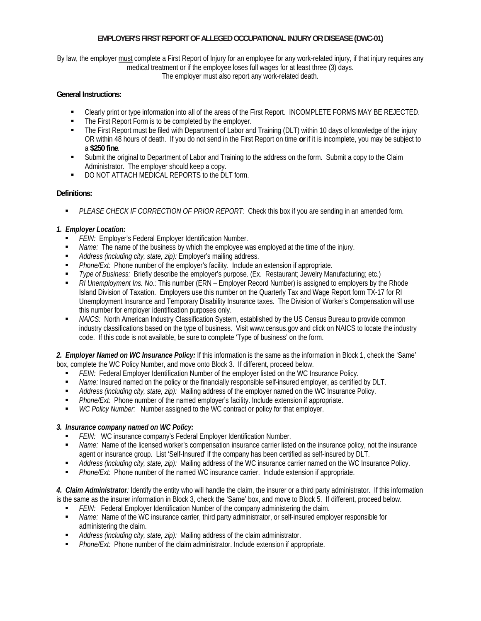# **EMPLOYER'S FIRST REPORT OF ALLEGED OCCUPATIONAL INJURY OR DISEASE (DWC-01)**

By law, the employer must complete a First Report of Injury for an employee for any work-related injury, if that injury requires any medical treatment or if the employee loses full wages for at least three (3) days.

The employer must also report any work-related death.

## **General Instructions:**

- Clearly print or type information into all of the areas of the First Report. INCOMPLETE FORMS MAY BE REJECTED.
- The First Report Form is to be completed by the employer.
- The First Report must be filed with Department of Labor and Training (DLT) within 10 days of knowledge of the injury OR within 48 hours of death. If you do not send in the First Report on time **or** if it is incomplete, you may be subject to a **\$250 fine**.
- Submit the original to Department of Labor and Training to the address on the form. Submit a copy to the Claim Administrator. The employer should keep a copy.
- **DO NOT ATTACH MEDICAL REPORTS to the DLT form.**

## **Definitions:**

*PLEASE CHECK IF CORRECTION OF PRIOR REPORT:* Check this box if you are sending in an amended form.

# *1. Employer Location:*

- *FEIN:* Employer's Federal Employer Identification Number.
- *Name:* The name of the business by which the employee was employed at the time of the injury.
- *Address (including city, state, zip):* Employer's mailing address.
- *Phone/Ext:* Phone number of the employer's facility. Include an extension if appropriate.
- *Type of Business:* Briefly describe the employer's purpose. (Ex. Restaurant; Jewelry Manufacturing; etc.)
- *RI Unemployment Ins. No.:* This number (ERN Employer Record Number) is assigned to employers by the Rhode Island Division of Taxation. Employers use this number on the Quarterly Tax and Wage Report form TX-17 for RI Unemployment Insurance and Temporary Disability Insurance taxes. The Division of Worker's Compensation will use this number for employer identification purposes only.
- *NAICS:* North American Industry Classification System, established by the US Census Bureau to provide common industry classifications based on the type of business. Visit www.census.gov and click on NAICS to locate the industry code. If this code is not available, be sure to complete 'Type of business' on the form.

*2. Employer Named on WC Insurance Policy:* If this information is the same as the information in Block 1, check the 'Same' box, complete the WC Policy Number, and move onto Block 3. If different, proceed below.

- *FEIN:* Federal Employer Identification Number of the employer listed on the WC Insurance Policy.
- *Name:* Insured named on the policy or the financially responsible self-insured employer, as certified by DLT.
- *Address (including city, state, zip):* Mailing address of the employer named on the WC Insurance Policy.
- *Phone/Ext:* Phone number of the named employer's facility. Include extension if appropriate.
- *WC Policy Number:* Number assigned to the WC contract or policy for that employer.

# *3. Insurance company named on WC Policy:*

- *FEIN:* WC insurance company's Federal Employer Identification Number.
- *Name:* Name of the licensed worker's compensation insurance carrier listed on the insurance policy, not the insurance agent or insurance group. List 'Self-Insured' if the company has been certified as self-insured by DLT.
- *Address (including city, state, zip):* Mailing address of the WC insurance carrier named on the WC Insurance Policy.
- *Phone/Ext:* Phone number of the named WC insurance carrier. Include extension if appropriate.

*4. Claim Administrator:* Identify the entity who will handle the claim, the insurer or a third party administrator. If this information is the same as the insurer information in Block 3, check the 'Same' box, and move to Block 5. If different, proceed below.

- **FEIN:** Federal Employer Identification Number of the company administering the claim.
- *Name:* Name of the WC insurance carrier, third party administrator, or self-insured employer responsible for administering the claim.
- *Address (including city, state, zip):* Mailing address of the claim administrator.
- **Phone/Ext:** Phone number of the claim administrator. Include extension if appropriate.